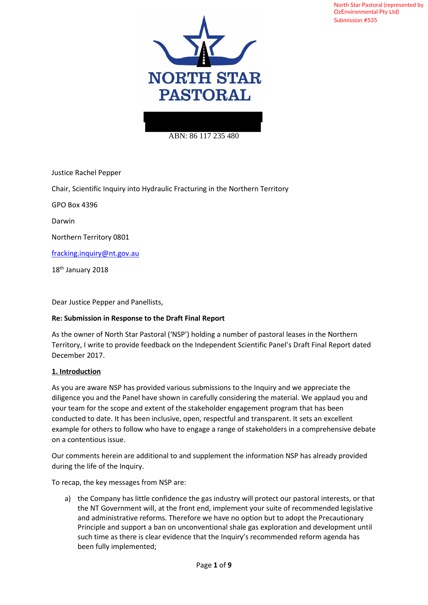

#### ABN: 86 117 235 480

Justice Rachel Pepper

Chair, Scientific Inquiry into Hydraulic Fracturing in the Northern Territory

GPO Box 4396

Darwin

Northern Territory 0801

fracking.inquiry@nt.gov.au

18<sup>th</sup> January 2018

Dear Justice Pepper and Panellists,

#### **Re: Submission in Response to the Draft Final Report**

As the owner of North Star Pastoral ('NSP') holding a number of pastoral leases in the Northern Territory, I write to provide feedback on the Independent Scientific Panel's Draft Final Report dated December 2017.

#### **1. Introduction**

As you are aware NSP has provided various submissions to the Inquiry and we appreciate the diligence you and the Panel have shown in carefully considering the material. We applaud you and your team for the scope and extent of the stakeholder engagement program that has been conducted to date. It has been inclusive, open, respectful and transparent. It sets an excellent example for others to follow who have to engage a range of stakeholders in a comprehensive debate on a contentious issue.

Our comments herein are additional to and supplement the information NSP has already provided during the life of the Inquiry.

To recap, the key messages from NSP are:

a) the Company has little confidence the gas industry will protect our pastoral interests, or that the NT Government will, at the front end, implement your suite of recommended legislative and administrative reforms. Therefore we have no option but to adopt the Precautionary Principle and support a ban on unconventional shale gas exploration and development until such time as there is clear evidence that the Inquiry's recommended reform agenda has been fully implemented;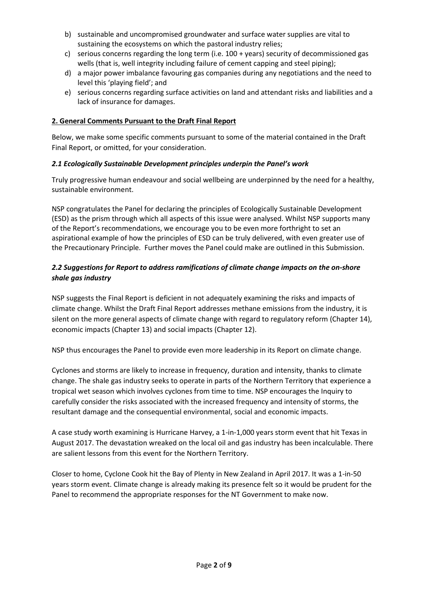- b) sustainable and uncompromised groundwater and surface water supplies are vital to sustaining the ecosystems on which the pastoral industry relies;
- c) serious concerns regarding the long term (i.e. 100 + years) security of decommissioned gas wells (that is, well integrity including failure of cement capping and steel piping);
- d) a major power imbalance favouring gas companies during any negotiations and the need to level this 'playing field'; and
- e) serious concerns regarding surface activities on land and attendant risks and liabilities and a lack of insurance for damages.

### **2. General Comments Pursuant to the Draft Final Report**

Below, we make some specific comments pursuant to some of the material contained in the Draft Final Report, or omitted, for your consideration.

### *2.1 Ecologically Sustainable Development principles underpin the Panel's work*

Truly progressive human endeavour and social wellbeing are underpinned by the need for a healthy, sustainable environment.

NSP congratulates the Panel for declaring the principles of Ecologically Sustainable Development (ESD) as the prism through which all aspects of this issue were analysed. Whilst NSP supports many of the Report's recommendations, we encourage you to be even more forthright to set an aspirational example of how the principles of ESD can be truly delivered, with even greater use of the Precautionary Principle. Further moves the Panel could make are outlined in this Submission.

# *2.2 Suggestions for Report to address ramifications of climate change impacts on the on-shore shale gas industry*

NSP suggests the Final Report is deficient in not adequately examining the risks and impacts of climate change. Whilst the Draft Final Report addresses methane emissions from the industry, it is silent on the more general aspects of climate change with regard to regulatory reform (Chapter 14), economic impacts (Chapter 13) and social impacts (Chapter 12).

NSP thus encourages the Panel to provide even more leadership in its Report on climate change.

Cyclones and storms are likely to increase in frequency, duration and intensity, thanks to climate change. The shale gas industry seeks to operate in parts of the Northern Territory that experience a tropical wet season which involves cyclones from time to time. NSP encourages the Inquiry to carefully consider the risks associated with the increased frequency and intensity of storms, the resultant damage and the consequential environmental, social and economic impacts.

A case study worth examining is Hurricane Harvey, a 1-in-1,000 years storm event that hit Texas in August 2017. The devastation wreaked on the local oil and gas industry has been incalculable. There are salient lessons from this event for the Northern Territory.

Closer to home, Cyclone Cook hit the Bay of Plenty in New Zealand in April 2017. It was a 1-in-50 years storm event. Climate change is already making its presence felt so it would be prudent for the Panel to recommend the appropriate responses for the NT Government to make now.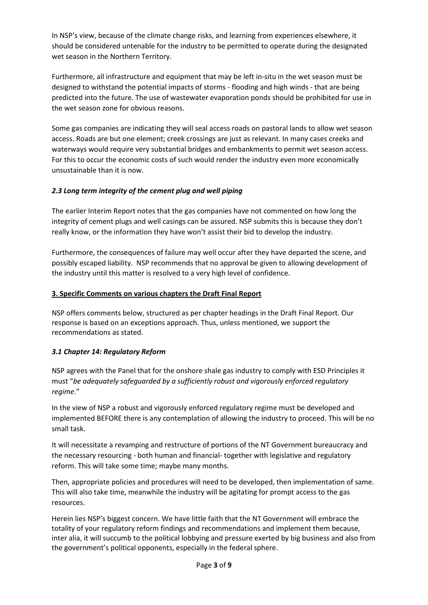In NSP's view, because of the climate change risks, and learning from experiences elsewhere, it should be considered untenable for the industry to be permitted to operate during the designated wet season in the Northern Territory.

Furthermore, all infrastructure and equipment that may be left in-situ in the wet season must be designed to withstand the potential impacts of storms - flooding and high winds - that are being predicted into the future. The use of wastewater evaporation ponds should be prohibited for use in the wet season zone for obvious reasons.

Some gas companies are indicating they will seal access roads on pastoral lands to allow wet season access. Roads are but one element; creek crossings are just as relevant. In many cases creeks and waterways would require very substantial bridges and embankments to permit wet season access. For this to occur the economic costs of such would render the industry even more economically unsustainable than it is now.

# *2.3 Long term integrity of the cement plug and well piping*

The earlier Interim Report notes that the gas companies have not commented on how long the integrity of cement plugs and well casings can be assured. NSP submits this is because they don't really know, or the information they have won't assist their bid to develop the industry.

Furthermore, the consequences of failure may well occur after they have departed the scene, and possibly escaped liability. NSP recommends that no approval be given to allowing development of the industry until this matter is resolved to a very high level of confidence.

# **3. Specific Comments on various chapters the Draft Final Report**

NSP offers comments below, structured as per chapter headings in the Draft Final Report. Our response is based on an exceptions approach. Thus, unless mentioned, we support the recommendations as stated.

# *3.1 Chapter 14: Regulatory Reform*

NSP agrees with the Panel that for the onshore shale gas industry to comply with ESD Principles it must "*be adequately safeguarded by a sufficiently robust and vigorously enforced regulatory regime*."

In the view of NSP a robust and vigorously enforced regulatory regime must be developed and implemented BEFORE there is any contemplation of allowing the industry to proceed. This will be no small task.

It will necessitate a revamping and restructure of portions of the NT Government bureaucracy and the necessary resourcing - both human and financial- together with legislative and regulatory reform. This will take some time; maybe many months.

Then, appropriate policies and procedures will need to be developed, then implementation of same. This will also take time, meanwhile the industry will be agitating for prompt access to the gas resources.

Herein lies NSP's biggest concern. We have little faith that the NT Government will embrace the totality of your regulatory reform findings and recommendations and implement them because, inter alia, it will succumb to the political lobbying and pressure exerted by big business and also from the government's political opponents, especially in the federal sphere.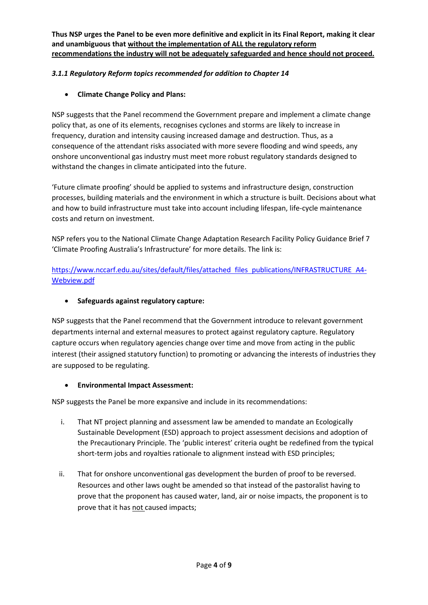**Thus NSP urges the Panel to be even more definitive and explicit in its Final Report, making it clear and unambiguous that without the implementation of ALL the regulatory reform recommendations the industry will not be adequately safeguarded and hence should not proceed.**

# *3.1.1 Regulatory Reform topics recommended for addition to Chapter 14*

• **Climate Change Policy and Plans:**

NSP suggests that the Panel recommend the Government prepare and implement a climate change policy that, as one of its elements, recognises cyclones and storms are likely to increase in frequency, duration and intensity causing increased damage and destruction. Thus, as a consequence of the attendant risks associated with more severe flooding and wind speeds, any onshore unconventional gas industry must meet more robust regulatory standards designed to withstand the changes in climate anticipated into the future.

'Future climate proofing' should be applied to systems and infrastructure design, construction processes, building materials and the environment in which a structure is built. Decisions about what and how to build infrastructure must take into account including lifespan, life-cycle maintenance costs and return on investment.

NSP refers you to the National Climate Change Adaptation Research Facility Policy Guidance Brief 7 'Climate Proofing Australia's Infrastructure' for more details. The link is:

https://www.nccarf.edu.au/sites/default/files/attached files publications/INFRASTRUCTURE A4- Webview.pdf

• **Safeguards against regulatory capture:**

NSP suggests that the Panel recommend that the Government introduce to relevant government departments internal and external measures to protect against regulatory capture. Regulatory capture occurs when regulatory agencies change over time and move from acting in the public interest (their assigned statutory function) to promoting or advancing the interests of industries they are supposed to be regulating.

# • **Environmental Impact Assessment:**

NSP suggests the Panel be more expansive and include in its recommendations:

- i. That NT project planning and assessment law be amended to mandate an Ecologically Sustainable Development (ESD) approach to project assessment decisions and adoption of the Precautionary Principle. The 'public interest' criteria ought be redefined from the typical short-term jobs and royalties rationale to alignment instead with ESD principles;
- ii. That for onshore unconventional gas development the burden of proof to be reversed. Resources and other laws ought be amended so that instead of the pastoralist having to prove that the proponent has caused water, land, air or noise impacts, the proponent is to prove that it has not caused impacts;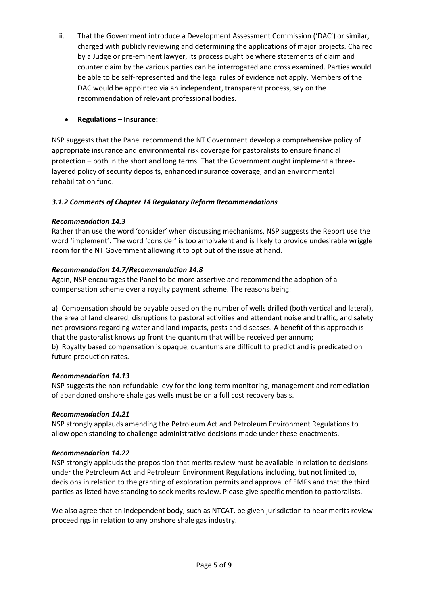iii. That the Government introduce a Development Assessment Commission ('DAC') or similar, charged with publicly reviewing and determining the applications of major projects. Chaired by a Judge or pre-eminent lawyer, its process ought be where statements of claim and counter claim by the various parties can be interrogated and cross examined. Parties would be able to be self-represented and the legal rules of evidence not apply. Members of the DAC would be appointed via an independent, transparent process, say on the recommendation of relevant professional bodies.

# • **Regulations – Insurance:**

NSP suggests that the Panel recommend the NT Government develop a comprehensive policy of appropriate insurance and environmental risk coverage for pastoralists to ensure financial protection – both in the short and long terms. That the Government ought implement a threelayered policy of security deposits, enhanced insurance coverage, and an environmental rehabilitation fund.

# *3.1.2 Comments of Chapter 14 Regulatory Reform Recommendations*

# *Recommendation 14.3*

Rather than use the word 'consider' when discussing mechanisms, NSP suggests the Report use the word 'implement'. The word 'consider' is too ambivalent and is likely to provide undesirable wriggle room for the NT Government allowing it to opt out of the issue at hand.

# *Recommendation 14.7/Recommendation 14.8*

Again, NSP encourages the Panel to be more assertive and recommend the adoption of a compensation scheme over a royalty payment scheme. The reasons being:

a) Compensation should be payable based on the number of wells drilled (both vertical and lateral), the area of land cleared, disruptions to pastoral activities and attendant noise and traffic, and safety net provisions regarding water and land impacts, pests and diseases. A benefit of this approach is that the pastoralist knows up front the quantum that will be received per annum; b) Royalty based compensation is opaque, quantums are difficult to predict and is predicated on future production rates.

# *Recommendation 14.13*

NSP suggests the non-refundable levy for the long-term monitoring, management and remediation of abandoned onshore shale gas wells must be on a full cost recovery basis.

# *Recommendation 14.21*

NSP strongly applauds amending the Petroleum Act and Petroleum Environment Regulations to allow open standing to challenge administrative decisions made under these enactments.

# *Recommendation 14.22*

NSP strongly applauds the proposition that merits review must be available in relation to decisions under the Petroleum Act and Petroleum Environment Regulations including, but not limited to, decisions in relation to the granting of exploration permits and approval of EMPs and that the third parties as listed have standing to seek merits review. Please give specific mention to pastoralists.

We also agree that an independent body, such as NTCAT, be given jurisdiction to hear merits review proceedings in relation to any onshore shale gas industry.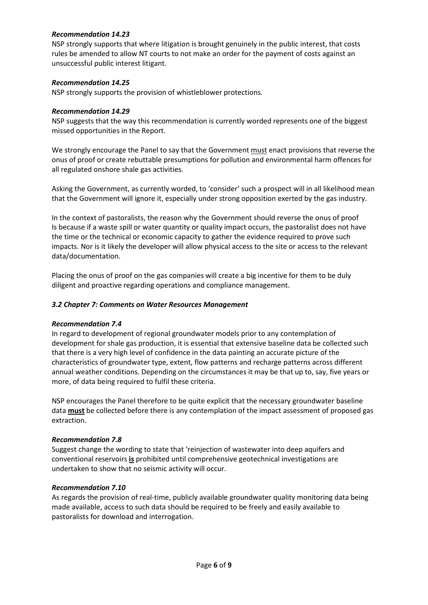### *Recommendation 14.23*

NSP strongly supports that where litigation is brought genuinely in the public interest, that costs rules be amended to allow NT courts to not make an order for the payment of costs against an unsuccessful public interest litigant.

### *Recommendation 14.25*

NSP strongly supports the provision of whistleblower protections.

### *Recommendation 14.29*

NSP suggests that the way this recommendation is currently worded represents one of the biggest missed opportunities in the Report.

We strongly encourage the Panel to say that the Government must enact provisions that reverse the onus of proof or create rebuttable presumptions for pollution and environmental harm offences for all regulated onshore shale gas activities.

Asking the Government, as currently worded, to 'consider' such a prospect will in all likelihood mean that the Government will ignore it, especially under strong opposition exerted by the gas industry.

In the context of pastoralists, the reason why the Government should reverse the onus of proof Is because if a waste spill or water quantity or quality impact occurs, the pastoralist does not have the time or the technical or economic capacity to gather the evidence required to prove such impacts. Nor is it likely the developer will allow physical access to the site or access to the relevant data/documentation.

Placing the onus of proof on the gas companies will create a big incentive for them to be duly diligent and proactive regarding operations and compliance management.

### *3.2 Chapter 7: Comments on Water Resources Management*

#### *Recommendation 7.4*

In regard to development of regional groundwater models prior to any contemplation of development for shale gas production, it is essential that extensive baseline data be collected such that there is a very high level of confidence in the data painting an accurate picture of the characteristics of groundwater type, extent, flow patterns and recharge patterns across different annual weather conditions. Depending on the circumstances it may be that up to, say, five years or more, of data being required to fulfil these criteria.

NSP encourages the Panel therefore to be quite explicit that the necessary groundwater baseline data **must** be collected before there is any contemplation of the impact assessment of proposed gas extraction.

#### *Recommendation 7.8*

Suggest change the wording to state that 'reinjection of wastewater into deep aquifers and conventional reservoirs **is** prohibited until comprehensive geotechnical investigations are undertaken to show that no seismic activity will occur.

#### *Recommendation 7.10*

As regards the provision of real-time, publicly available groundwater quality monitoring data being made available, access to such data should be required to be freely and easily available to pastoralists for download and interrogation.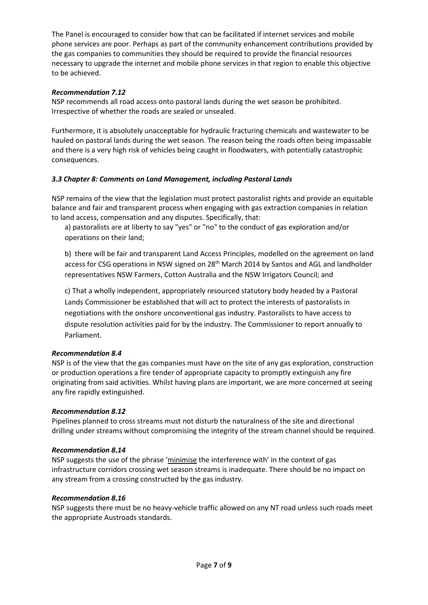The Panel is encouraged to consider how that can be facilitated if internet services and mobile phone services are poor. Perhaps as part of the community enhancement contributions provided by the gas companies to communities they should be required to provide the financial resources necessary to upgrade the internet and mobile phone services in that region to enable this objective to be achieved.

### *Recommendation 7.12*

NSP recommends all road access onto pastoral lands during the wet season be prohibited. Irrespective of whether the roads are sealed or unsealed.

Furthermore, it is absolutely unacceptable for hydraulic fracturing chemicals and wastewater to be hauled on pastoral lands during the wet season. The reason being the roads often being impassable and there is a very high risk of vehicles being caught in floodwaters, with potentially catastrophic consequences.

### *3.3 Chapter 8: Comments on Land Management, including Pastoral Lands*

NSP remains of the view that the legislation must protect pastoralist rights and provide an equitable balance and fair and transparent process when engaging with gas extraction companies in relation to land access, compensation and any disputes. Specifically, that:

a) pastoralists are at liberty to say "yes" or "no" to the conduct of gas exploration and/or operations on their land;

b) there will be fair and transparent Land Access Principles, modelled on the agreement on land access for CSG operations in NSW signed on 28<sup>th</sup> March 2014 by Santos and AGL and landholder representatives NSW Farmers, Cotton Australia and the NSW Irrigators Council; and

c) That a wholly independent, appropriately resourced statutory body headed by a Pastoral Lands Commissioner be established that will act to protect the interests of pastoralists in negotiations with the onshore unconventional gas industry. Pastoralists to have access to dispute resolution activities paid for by the industry. The Commissioner to report annually to Parliament.

#### *Recommendation 8.4*

NSP is of the view that the gas companies must have on the site of any gas exploration, construction or production operations a fire tender of appropriate capacity to promptly extinguish any fire originating from said activities. Whilst having plans are important, we are more concerned at seeing any fire rapidly extinguished.

#### *Recommendation 8.12*

Pipelines planned to cross streams must not disturb the naturalness of the site and directional drilling under streams without compromising the integrity of the stream channel should be required.

#### *Recommendation 8.14*

NSP suggests the use of the phrase 'minimise the interference with' in the context of gas infrastructure corridors crossing wet season streams is inadequate. There should be no impact on any stream from a crossing constructed by the gas industry.

#### *Recommendation 8.16*

NSP suggests there must be no heavy-vehicle traffic allowed on any NT road unless such roads meet the appropriate Austroads standards.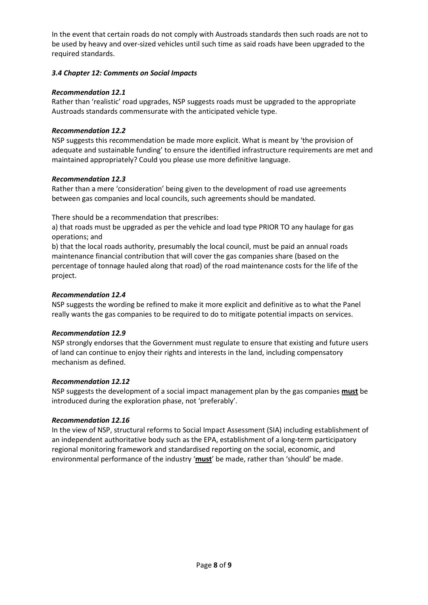In the event that certain roads do not comply with Austroads standards then such roads are not to be used by heavy and over-sized vehicles until such time as said roads have been upgraded to the required standards.

### *3.4 Chapter 12: Comments on Social Impacts*

### *Recommendation 12.1*

Rather than 'realistic' road upgrades, NSP suggests roads must be upgraded to the appropriate Austroads standards commensurate with the anticipated vehicle type.

### *Recommendation 12.2*

NSP suggests this recommendation be made more explicit. What is meant by 'the provision of adequate and sustainable funding' to ensure the identified infrastructure requirements are met and maintained appropriately? Could you please use more definitive language.

### *Recommendation 12.3*

Rather than a mere 'consideration' being given to the development of road use agreements between gas companies and local councils, such agreements should be mandated.

There should be a recommendation that prescribes:

a) that roads must be upgraded as per the vehicle and load type PRIOR TO any haulage for gas operations; and

b) that the local roads authority, presumably the local council, must be paid an annual roads maintenance financial contribution that will cover the gas companies share (based on the percentage of tonnage hauled along that road) of the road maintenance costs for the life of the project.

### *Recommendation 12.4*

NSP suggests the wording be refined to make it more explicit and definitive as to what the Panel really wants the gas companies to be required to do to mitigate potential impacts on services.

#### *Recommendation 12.9*

NSP strongly endorses that the Government must regulate to ensure that existing and future users of land can continue to enjoy their rights and interests in the land, including compensatory mechanism as defined.

#### *Recommendation 12.12*

NSP suggests the development of a social impact management plan by the gas companies **must** be introduced during the exploration phase, not 'preferably'.

# *Recommendation 12.16*

In the view of NSP, structural reforms to Social Impact Assessment (SIA) including establishment of an independent authoritative body such as the EPA, establishment of a long-term participatory regional monitoring framework and standardised reporting on the social, economic, and environmental performance of the industry '**must**' be made, rather than 'should' be made.